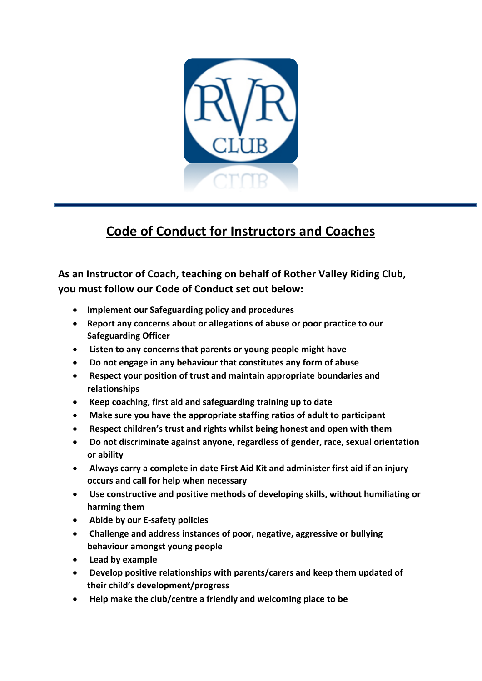

## **Code of Conduct for Instructors and Coaches**

**As an Instructor of Coach, teaching on behalf of Rother Valley Riding Club, you must follow our Code of Conduct set out below:** 

- **Implement our Safeguarding policy and procedures**
- **Report any concerns about or allegations of abuse or poor practice to our Safeguarding Officer**
- **Listen to any concerns that parents or young people might have**
- **Do not engage in any behaviour that constitutes any form of abuse**
- **Respect your position of trust and maintain appropriate boundaries and relationships**
- **Keep coaching, first aid and safeguarding training up to date**
- **Make sure you have the appropriate staffing ratios of adult to participant**
- **Respect children's trust and rights whilst being honest and open with them**
- **Do not discriminate against anyone, regardless of gender, race, sexual orientation or ability**
- **Always carry a complete in date First Aid Kit and administer first aid if an injury occurs and call for help when necessary**
- **Use constructive and positive methods of developing skills, without humiliating or harming them**
- **Abide by our E-safety policies**
- **Challenge and address instances of poor, negative, aggressive or bullying behaviour amongst young people**
- **Lead by example**
- **Develop positive relationships with parents/carers and keep them updated of their child's development/progress**
- **Help make the club/centre a friendly and welcoming place to be**